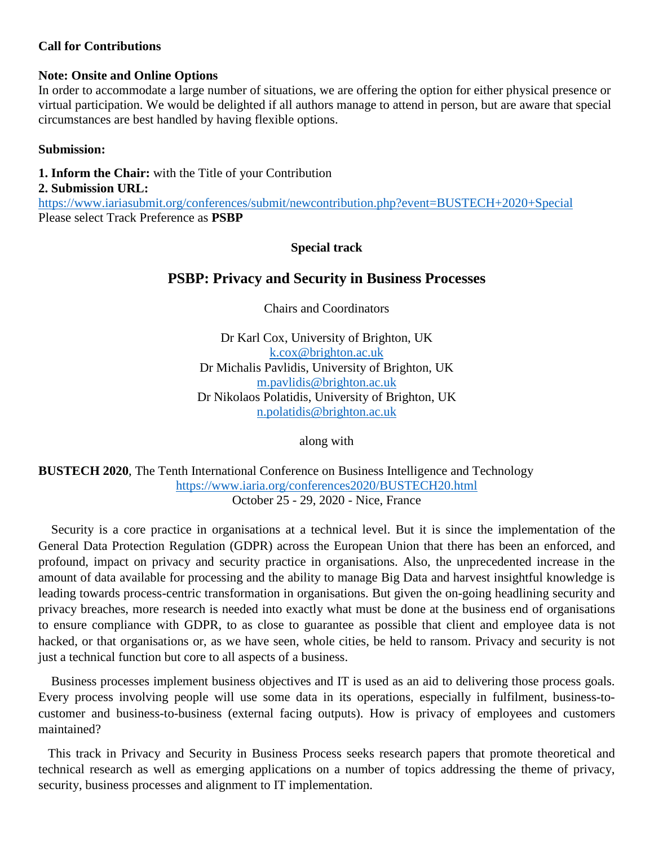### **Call for Contributions**

#### **Note: Onsite and Online Options**

In order to accommodate a large number of situations, we are offering the option for either physical presence or virtual participation. We would be delighted if all authors manage to attend in person, but are aware that special circumstances are best handled by having flexible options.

### **Submission:**

**1. Inform the Chair:** with the Title of your Contribution

### **2. Submission URL:**

<https://www.iariasubmit.org/conferences/submit/newcontribution.php?event=BUSTECH+2020+Special> Please select Track Preference as **PSBP**

### **Special track**

# **PSBP: Privacy and Security in Business Processes**

Chairs and Coordinators

Dr Karl Cox, University of Brighton, UK [k.cox@brighton.ac.uk](mailto:k.cox@brighton.ac.uk) Dr Michalis Pavlidis, University of Brighton, UK [m.pavlidis@brighton.ac.uk](mailto:m.pavlidis@brighton.ac.uk) Dr Nikolaos Polatidis, University of Brighton, UK [n.polatidis@brighton.ac.uk](mailto:n.polatidis@brighton.ac.uk)

along with

**BUSTECH 2020**, The Tenth International Conference on Business Intelligence and Technology <https://www.iaria.org/conferences2020/BUSTECH20.html> October 25 - 29, 2020 - Nice, France

Security is a core practice in organisations at a technical level. But it is since the implementation of the General Data Protection Regulation (GDPR) across the European Union that there has been an enforced, and profound, impact on privacy and security practice in organisations. Also, the unprecedented increase in the amount of data available for processing and the ability to manage Big Data and harvest insightful knowledge is leading towards process-centric transformation in organisations. But given the on-going headlining security and privacy breaches, more research is needed into exactly what must be done at the business end of organisations to ensure compliance with GDPR, to as close to guarantee as possible that client and employee data is not hacked, or that organisations or, as we have seen, whole cities, be held to ransom. Privacy and security is not just a technical function but core to all aspects of a business.

Business processes implement business objectives and IT is used as an aid to delivering those process goals. Every process involving people will use some data in its operations, especially in fulfilment, business-tocustomer and business-to-business (external facing outputs). How is privacy of employees and customers maintained?

This track in Privacy and Security in Business Process seeks research papers that promote theoretical and technical research as well as emerging applications on a number of topics addressing the theme of privacy, security, business processes and alignment to IT implementation.